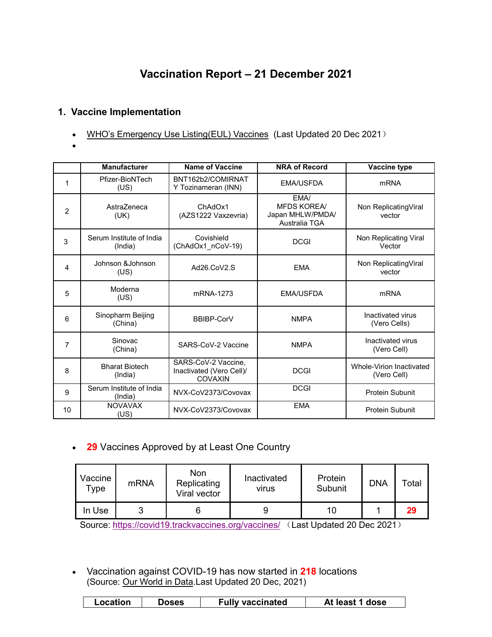# **Vaccination Report – 21 December 2021**

# **1. Vaccine Implementation**

- WHO's Emergency Use [Listing\(EUL\)](https://extranet.who.int/pqweb/sites/default/files/documents/Status_COVID_VAX_20Dec2021.pdf) Vaccines (Last Updated 20 Dec 2021)
- $\bullet$  and  $\bullet$  and  $\bullet$  and  $\bullet$

|                | <b>Manufacturer</b>                 | <b>Name of Vaccine</b>                                            | <b>NRA of Record</b>                                            | Vaccine type                            |
|----------------|-------------------------------------|-------------------------------------------------------------------|-----------------------------------------------------------------|-----------------------------------------|
| 1              | Pfizer-BioNTech<br>(US)             | BNT162b2/COMIRNAT<br>Y Tozinameran (INN)                          | <b>EMA/USFDA</b>                                                | <b>mRNA</b>                             |
| $\overline{2}$ | AstraZeneca<br>(UK)                 | ChAdOx1<br>(AZS1222 Vaxzevria)                                    | EMA/<br><b>MFDS KOREA/</b><br>Japan MHLW/PMDA/<br>Australia TGA | Non ReplicatingViral<br>vector          |
| 3              | Serum Institute of India<br>(India) | Covishield<br>(ChAdOx1_nCoV-19)                                   | <b>DCGI</b>                                                     | Non Replicating Viral<br>Vector         |
| 4              | Johnson & Johnson<br>(US)           | Ad26.CoV2.S                                                       | <b>EMA</b>                                                      | Non ReplicatingViral<br>vector          |
| 5              | Moderna<br>(US)                     | mRNA-1273                                                         | <b>EMA/USFDA</b>                                                | <b>mRNA</b>                             |
| 6              | Sinopharm Beijing<br>(China)        | <b>BBIBP-CorV</b>                                                 | <b>NMPA</b>                                                     | Inactivated virus<br>(Vero Cells)       |
| 7              | Sinovac<br>(China)                  | SARS-CoV-2 Vaccine                                                | <b>NMPA</b>                                                     | Inactivated virus<br>(Vero Cell)        |
| 8              | <b>Bharat Biotech</b><br>(India)    | SARS-CoV-2 Vaccine,<br>Inactivated (Vero Cell)/<br><b>COVAXIN</b> | <b>DCGI</b>                                                     | Whole-Virion Inactivated<br>(Vero Cell) |
| 9              | Serum Institute of India<br>(India) | NVX-CoV2373/Covovax                                               | <b>DCGI</b>                                                     | <b>Protein Subunit</b>                  |
| 10             | <b>NOVAVAX</b><br>(US)              | NVX-CoV2373/Covovax                                               | <b>EMA</b>                                                      | <b>Protein Subunit</b>                  |

**29** Vaccines Approved by at Least One Country

| Vaccine<br>$\tau_{\texttt{ype}}$ | mRNA | Non<br>Replicating<br>Viral vector | Inactivated<br>virus | Protein<br>Subunit | <b>DNA</b> | Total |
|----------------------------------|------|------------------------------------|----------------------|--------------------|------------|-------|
| In Use                           | ັ    |                                    | У                    | 10                 |            | 29    |

Source: <https://covid19.trackvaccines.org/vaccines/> (Last Updated 20 Dec 2021)

 Vaccination against COVID-19 has now started in **218** locations (Source: Our [World](https://ourworldindata.org/covid-vaccinations) in Data.Last Updated 20 Dec, 2021)

| <b>Fully vaccinated</b><br>Location<br>At least 1 dose<br><b>Doses</b> |
|------------------------------------------------------------------------|
|------------------------------------------------------------------------|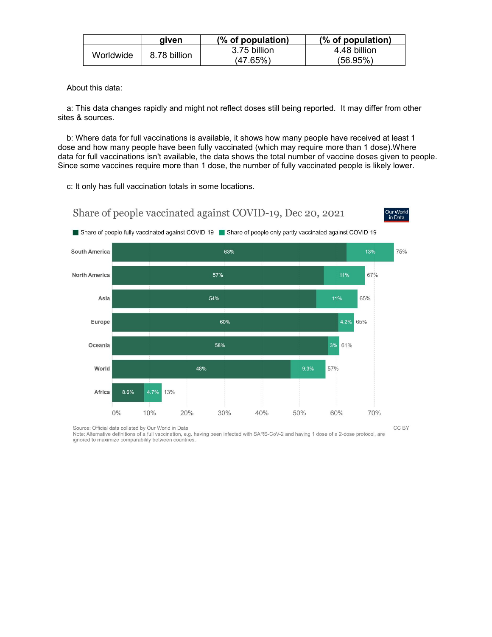|           | aiven        | (% of population) | (% of population) |
|-----------|--------------|-------------------|-------------------|
| Worldwide | 8.78 billion | 3.75 billion      | 4.48 billion      |
|           |              | (47.65%)          | (56.95%)          |

About this data:

a: This data changes rapidly and might not reflect doses still being reported. It may differ from other sites & sources.

b: Where data for full vaccinations is available, it shows how many people have received at least 1 dose and how many people have been fully vaccinated (which may require more than 1 dose).Where data for full vaccinations isn't available, the data shows the total number of vaccine doses given to people. Since some vaccines require more than 1 dose, the number of fully vaccinated people is likely lower.

c: It only has full vaccination totals in some locations.

Share of people vaccinated against COVID-19, Dec 20, 2021





Source: Official data collated by Our World in Data

Note: Alternative definitions of a full vaccination, e.g. having been infected with SARS-CoV-2 and having 1 dose of a 2-dose protocol, are ignored to maximize comparability between countries.

CC BY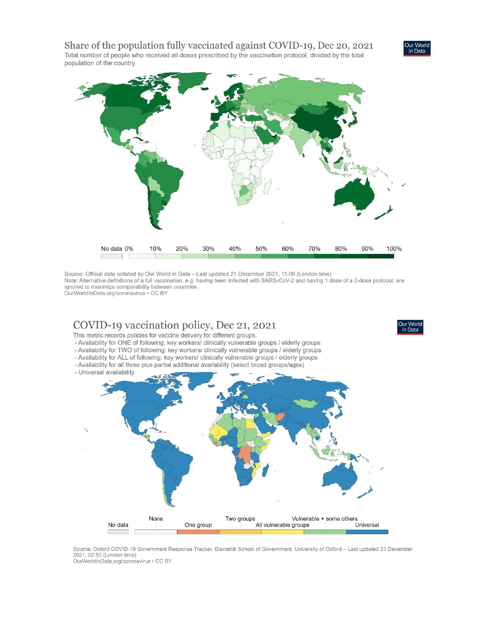Share of the population fully vaccinated against COVID-19, Dec 20, 2021 Total number of people who received all doses prescribed by the vaccination protocol, divided by the total population of the country.



in Data

Source: Official data collated by Our World in Data - Last updated 21 December 2021, 11:00 (London time) Note: Alternative definitions of a full vaccination, e.g. having been infected with SARS-CoV-2 and having 1 dose of a 2-dose protocol, are ignored to maximize comparability between countries. OurWorldInData.org/coronavirus . CC BY

# COVID-19 vaccination policy, Dec 21, 2021

This metric records policies for vaccine delivery for different groups.

- Availability for ONE of following: key workers/ clinically vulnerable groups / elderly groups
- Availability for TWO of following: key workers/ clinically vulnerable groups / elderly groups
- Availability for ALL of following: key workers/ clinically vulnerable groups / elderly groups
- Availability for all three plus partial additional availability (select broad groups/ages)
- Universal availability



Source: Oxford COVID-19 Government Response Tracker, Blavatnik School of Government, University of Oxford - Last updated 21 December 2021, 02:50 (London time)

OurWorldInData.org/coronavirus . CC BY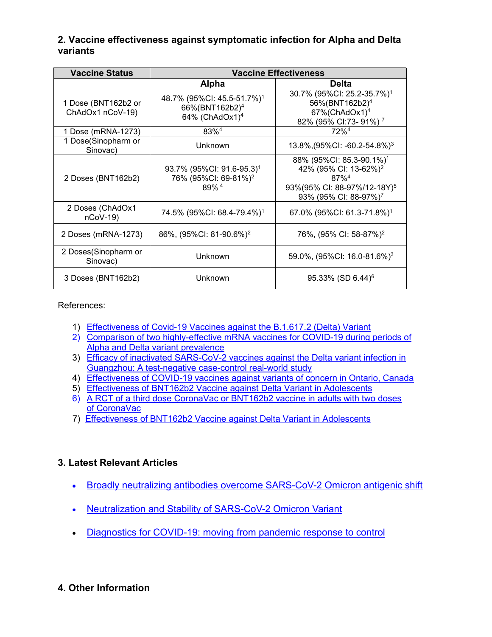#### **2. Vaccine effectiveness against symptomatic infection for Alpha and Delta variants**

| <b>Vaccine Status</b>                   | <b>Vaccine Effectiveness</b>                                                                       |                                                                                                                                                                                  |  |  |
|-----------------------------------------|----------------------------------------------------------------------------------------------------|----------------------------------------------------------------------------------------------------------------------------------------------------------------------------------|--|--|
|                                         | <b>Alpha</b>                                                                                       | <b>Delta</b>                                                                                                                                                                     |  |  |
| 1 Dose (BNT162b2 or<br>ChAdOx1 nCoV-19) | 48.7% (95%CI: 45.5-51.7%) <sup>1</sup><br>66%(BNT162b2) <sup>4</sup><br>64% (ChAdOx1) <sup>4</sup> | 30.7% (95%CI: 25.2-35.7%) <sup>1</sup><br>56%(BNT162b2) <sup>4</sup><br>$67\%$ (ChAdOx1) <sup>4</sup><br>82% (95% CI:73- 91%) <sup>7</sup>                                       |  |  |
| 1 Dose (mRNA-1273)                      | 83% <sup>4</sup>                                                                                   | 72% <sup>4</sup>                                                                                                                                                                 |  |  |
| 1 Dose(Sinopharm or<br>Sinovac)         | <b>Unknown</b>                                                                                     | 13.8%, $(95\%$ CI: -60.2-54.8%) <sup>3</sup>                                                                                                                                     |  |  |
| 2 Doses (BNT162b2)                      | 93.7% (95%CI: 91.6-95.3) <sup>1</sup><br>76% (95%CI: 69-81%) <sup>2</sup><br>89% <sup>4</sup>      | 88% (95%CI: 85.3-90.1%) <sup>1</sup><br>42% (95% CI: 13-62%) <sup>2</sup><br>$87\%$ <sup>4</sup><br>93%(95% CI: 88-97%/12-18Y) <sup>5</sup><br>93% (95% CI: 88-97%) <sup>7</sup> |  |  |
| 2 Doses (ChAdOx1<br>$nCoV-19$           | 74.5% (95%CI: 68.4-79.4%) <sup>1</sup>                                                             | 67.0% (95%CI: 61.3-71.8%) <sup>1</sup>                                                                                                                                           |  |  |
| 2 Doses (mRNA-1273)                     | 86%, (95%CI: 81-90.6%) <sup>2</sup>                                                                | 76%, (95% CI: 58-87%) <sup>2</sup>                                                                                                                                               |  |  |
| 2 Doses(Sinopharm or<br>Sinovac)        | <b>Unknown</b>                                                                                     | 59.0%, (95%CI: 16.0-81.6%) <sup>3</sup>                                                                                                                                          |  |  |
| 3 Doses (BNT162b2)                      | <b>Unknown</b>                                                                                     | $95.33\%$ (SD 6.44) <sup>6</sup>                                                                                                                                                 |  |  |

References:

- 1) [Effectiveness](https://www.nejm.org/doi/pdf/10.1056/NEJMoa2108891?articleTools=true) of Covid-19 Vaccines against the B.1.617.2 (Delta) Variant
- 2) Comparison of two [highly-effective](https://www.medrxiv.org/content/10.1101/2021.08.06.21261707v1.full.pdf) mRNA vaccines for COVID-19 during periods of Alpha and Delta variant prevalence
- 3) Efficacy of inactivated [SARS-CoV-2](https://www.tandfonline.com/doi/full/10.1080/22221751.2021.1969291) vaccines against the Delta variant infection in Guangzhou: A test-negative case-control real-world study
- 4) [Effectiveness](https://www.medrxiv.org/content/10.1101/2021.06.28.21259420v2.full.pdf) of COVID-19 vaccines against variants of concern in Ontario, Canada
- 5) [Effectiveness](https://www.nejm.org/doi/pdf/10.1056/NEJMc2114290?articleTools=true) of BNT162b2 Vaccine against Delta Variant in Adolescents
- 6) A RCT of a third dose [CoronaVac](https://www.medrxiv.org/content/10.1101/2021.11.02.21265843v1.full.pdf) or BNT162b2 vaccine in adults with two doses of CoronaVac
- 7) [Effectiveness](https://www.nejm.org/doi/full/10.1056/NEJMc2114290?query=featured_home) of BNT162b2 Vaccine against Delta Variant in Adolescents

# **3. Latest Relevant Articles**

- Broadly neutralizing antibodies overcome [SARS-CoV-2](https://www.biorxiv.org/content/10.1101/2021.12.12.472269v1) Omicron antigenic shift
- [Neutralization](https://www.biorxiv.org/content/10.1101/2021.12.16.472934v1) and Stability of SARS-CoV-2 Omicron Variant
- [Diagnostics](https://www.thelancet.com/journals/lancet/article/PIIS0140-6736(21)02346-1/fulltext) for COVID-19: moving from pandemic response to control

# **4. Other Information**